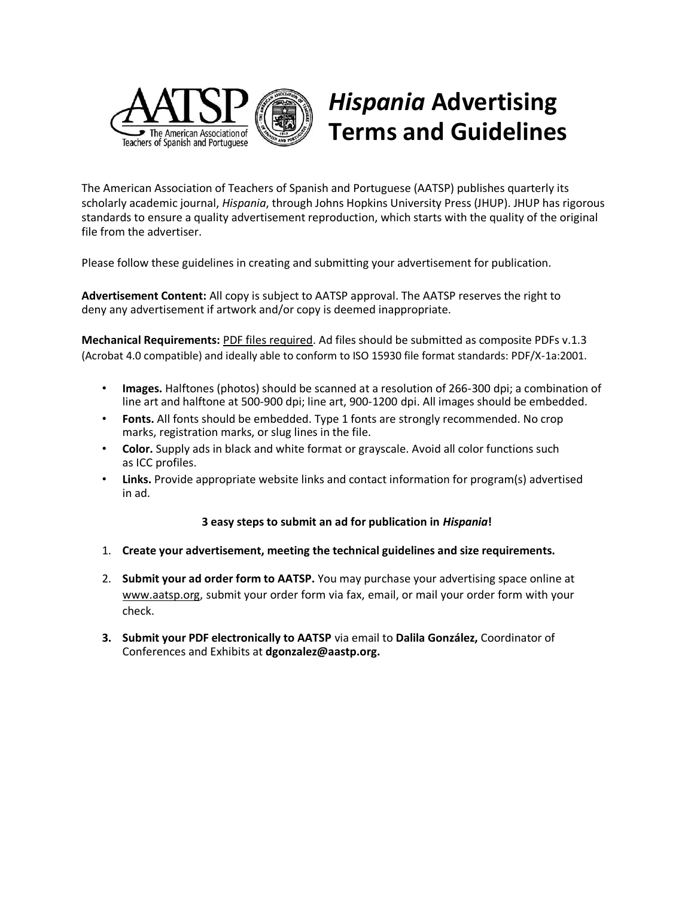

## *Hispania* **Advertising Terms and Guidelines**

The American Association of Teachers of Spanish and Portuguese (AATSP) publishes quarterly its scholarly academic journal, *Hispania*, through Johns Hopkins University Press (JHUP). JHUP has rigorous standards to ensure a quality advertisement reproduction, which starts with the quality of the original file from the advertiser.

Please follow these guidelines in creating and submitting your advertisement for publication.

**Advertisement Content:** All copy is subject to AATSP approval. The AATSP reserves the right to deny any advertisement if artwork and/or copy is deemed inappropriate.

**Mechanical Requirements:** PDF files required. Ad files should be submitted as composite PDFs v.1.3 (Acrobat 4.0 compatible) and ideally able to conform to ISO 15930 file format standards: PDF/X‐1a:2001.

- **Images.** Halftones (photos) should be scanned at a resolution of 266‐300 dpi; a combination of line art and halftone at 500‐900 dpi; line art, 900‐1200 dpi. All images should be embedded.
- **Fonts.** All fonts should be embedded. Type 1 fonts are strongly recommended. No crop marks, registration marks, or slug lines in the file.
- **Color.** Supply ads in black and white format or grayscale. Avoid all color functions such as ICC profiles.
- **Links.** Provide appropriate website links and contact information for program(s) advertised in ad.

## **3 easy steps to submit an ad for publication in** *Hispania***!**

- 1. **Create your advertisement, meeting the technical guidelines and size requirements.**
- 2. **Submit your ad order form to AATSP.** You may purchase your advertising space online at [www.aatsp.org, s](http://www.aatsp.org/)ubmit your order form via fax, email, or mail your order form with your check.
- **3. Submit your PDF electronically to AATSP** via email to **Dalila González,** Coordinator of Conferences and Exhibits at **dgonzalez@aastp.org.**